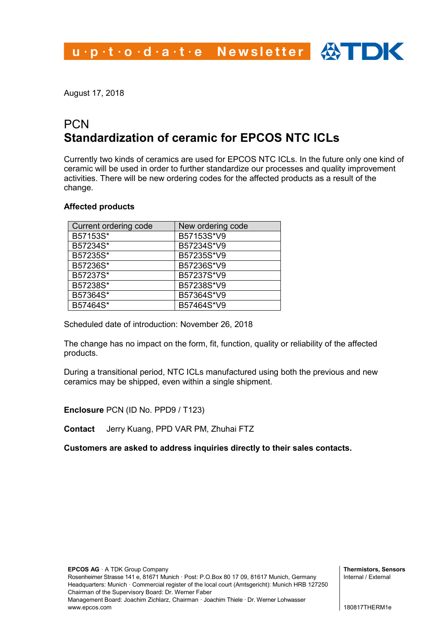## u.p.t.o.d.a.t.e Newsletter  $\bigoplus$  TDK

August 17, 2018

## **PCN Standardization of ceramic for EPCOS NTC ICLs**

Currently two kinds of ceramics are used for EPCOS NTC ICLs. In the future only one kind of ceramic will be used in order to further standardize our processes and quality improvement activities. There will be new ordering codes for the affected products as a result of the change.

## **Affected products**

| Current ordering code | New ordering code |
|-----------------------|-------------------|
| B57153S*              | B57153S*V9        |
| B57234S*              | B57234S*V9        |
| B57235S*              | B57235S*V9        |
| B57236S*              | B57236S*V9        |
| B57237S*              | B57237S*V9        |
| B57238S*              | B57238S*V9        |
| B57364S*              | B57364S*V9        |
| B57464S*              | B57464S*V9        |

Scheduled date of introduction: November 26, 2018

The change has no impact on the form, fit, function, quality or reliability of the affected products.

During a transitional period, NTC ICLs manufactured using both the previous and new ceramics may be shipped, even within a single shipment.

**Enclosure** PCN (ID No. PPD9 / T123)

**Contact** Jerry Kuang, PPD VAR PM, Zhuhai FTZ

**Customers are asked to address inquiries directly to their sales contacts.**

**Thermistors, Sensors** Internal / External